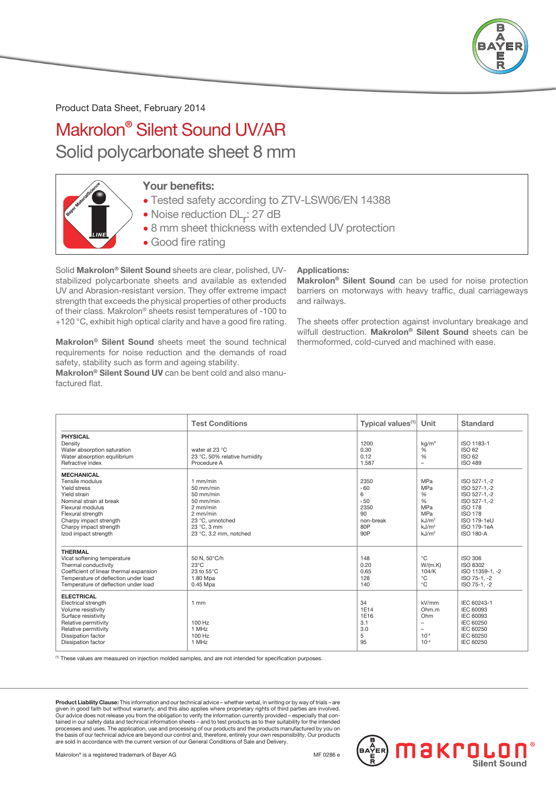

Product Data Sheet, February 2014

## Makrolon® Silent Sound UV/AR Solid polycarbonate sheet 8 mm



## Your benefits:

- Tested safety according to ZTV-LSW06/EN 14388
- Noise reduction DL<sub>r</sub>: 27 dB
- 8 mm sheet thickness with extended UV protection
- Good fire rating

Solid Makrolon® Silent Sound sheets are clear, polished, UVstabilized polycarbonate sheets and available as extended UV and Abrasion-resistant version. They offer extreme impact strength that exceeds the physical properties of other products of their class. Makrolon® sheets resist temperatures of -100 to +120 °C, exhibit high optical clarity and have a good fire rating.

Makrolon® Silent Sound sheets meet the sound technical requirements for noise reduction and the demands of road safety, stability such as form and ageing stability.

Makrolon® Silent Sound UV can be bent cold and also manufactured flat.

## Applications:

Makrolon® Silent Sound can be used for noise protection barriers on motorways with heavy traffic, dual carriageways and railways.

The sheets offer protection against involuntary breakage and wilfull destruction. Makrolon<sup>®</sup> Silent Sound sheets can be thermoformed, cold-curved and machined with ease.

18Krol

|                                                                                                                                                                                                                      | <b>Test Conditions</b>                                                                                                                       | Typical values <sup>(1)</sup>                                     | Unit                                                                                                                          | <b>Standard</b>                                                                                                                                    |
|----------------------------------------------------------------------------------------------------------------------------------------------------------------------------------------------------------------------|----------------------------------------------------------------------------------------------------------------------------------------------|-------------------------------------------------------------------|-------------------------------------------------------------------------------------------------------------------------------|----------------------------------------------------------------------------------------------------------------------------------------------------|
| <b>PHYSICAL</b><br>Density<br>Water absorption saturation<br>Water absorption equilibrium<br>Refractive index                                                                                                        | water at 23 °C<br>23 °C, 50% relative humidity<br>Procedure A                                                                                | 1200<br>0.30<br>0.12<br>1.587                                     | kq/m <sup>3</sup><br>%<br>%<br>$\overline{\phantom{m}}$                                                                       | ISO 1183-1<br>ISO 62<br><b>ISO 62</b><br><b>ISO 489</b>                                                                                            |
| <b>MECHANICAL</b><br>Tensile modulus<br>Yield stress<br>Yield strain<br>Nominal strain at break<br>Flexural modulus<br>Flexural strength<br>Charpy impact strength<br>Charpy impact strength<br>Izod impact strength | $1$ mm/min<br>50 mm/min<br>50 mm/min<br>$50$ mm/min<br>$2$ mm/min<br>$2$ mm/min<br>23 °C. unnotched<br>23 °C, 3 mm<br>23 °C, 3.2 mm, notched | 2350<br>560<br>6<br>, 50<br>2350<br>90<br>non-break<br>80P<br>90P | <b>MPa</b><br><b>MPa</b><br>%<br>%<br><b>MPa</b><br><b>MPa</b><br>kJ/m <sup>2</sup><br>kJ/m <sup>2</sup><br>kJ/m <sup>2</sup> | ISO 527-1,-2<br>ISO 527-1.-2<br>ISO 527-1,-2<br>ISO 527-1.-2<br><b>ISO 178</b><br><b>ISO 178</b><br>ISO 179-1eU<br>ISO 179-1eA<br><b>ISO 180-A</b> |
| <b>THERMAL</b><br>Vicat softening temperature<br>Thermal conductivity<br>Coefficient of linear thermal expansion<br>Temperature of deflection under load<br>Temperature of deflection under load                     | 50 N, 50°C/h<br>$23^{\circ}$ C<br>23 to $55^{\circ}$ C<br>1.80 Mpa<br>0.45 Mpa                                                               | 148<br>0.20<br>0.65<br>128<br>140                                 | $^{\circ}$ C<br>W/(m.K)<br>104/K<br>$^{\circ}$ C<br>$^{\circ}$ C                                                              | ISO 306<br>ISO 8302<br>ISO 11359-1. - 2<br>ISO 75-1, -2<br>ISO 75-1.-2                                                                             |
| <b>ELECTRICAL</b><br>Electrical strength<br>Volume resistivity<br>Surface resistivity<br>Relative permitivity<br>Relative permitivity<br>Dissipation factor<br><b>Dissipation factor</b>                             | 1mm<br>100 Hz<br>1 MHz<br>100 Hz<br>1 MHz                                                                                                    | 34<br>1E14<br>1E16<br>3.1<br>3.0<br>5<br>95                       | kV/mm<br>Ohm.m<br>Ohm<br>$\overline{\phantom{a}}$<br>$\overline{\phantom{a}}$<br>$10^{-4}$<br>$10^{-4}$                       | IEC 60243-1<br><b>IEC 60093</b><br>IEC 60093<br>IEC 60250<br>IEC 60250<br>IEC 60250<br>IEC 60250                                                   |

(1) These values are measured on injection molded samples, and are not intended for specification purposes.

Product Liability Clause: This information and our technical advice – whether verbal, in writing or by way of trials – are given in good faith but without warranty, and this also applies where proprietary rights of third parties are involved.<br>Our advice does not release you from the obligation to verify the information currently provided – esp tained in our safety data and technical information sheets – and to test products as to their suitability for the intended processes and uses. The application, use and processing of our products and the products manufactured by you on<br>the basis of our technical advice are beyond our control and, therefore, entirely your own responsibility. Our